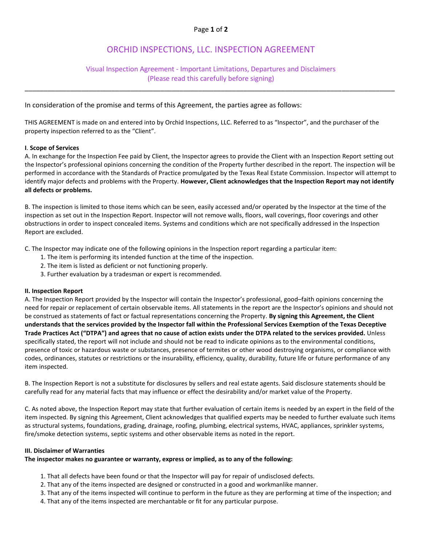# ORCHID INSPECTIONS, LLC. INSPECTION AGREEMENT

### Visual Inspection Agreement - Important Limitations, Departures and Disclaimers (Please read this carefully before signing)

\_\_\_\_\_\_\_\_\_\_\_\_\_\_\_\_\_\_\_\_\_\_\_\_\_\_\_\_\_\_\_\_\_\_\_\_\_\_\_\_\_\_\_\_\_\_\_\_\_\_\_\_\_\_\_\_\_\_\_\_\_\_\_\_\_\_\_\_\_\_\_\_\_\_\_\_\_\_\_\_\_\_\_\_\_\_\_\_\_\_\_\_\_\_\_\_\_\_

### In consideration of the promise and terms of this Agreement, the parties agree as follows:

THIS AGREEMENT is made on and entered into by Orchid Inspections, LLC. Referred to as "Inspector", and the purchaser of the property inspection referred to as the "Client".

#### **I**. **Scope of Services**

A. In exchange for the Inspection Fee paid by Client, the Inspector agrees to provide the Client with an Inspection Report setting out the Inspector's professional opinions concerning the condition of the Property further described in the report. The inspection will be performed in accordance with the Standards of Practice promulgated by the Texas Real Estate Commission. Inspector will attempt to identify major defects and problems with the Property. **However, Client acknowledges that the Inspection Report may not identify all defects or problems.**

B. The inspection is limited to those items which can be seen, easily accessed and/or operated by the Inspector at the time of the inspection as set out in the Inspection Report. Inspector will not remove walls, floors, wall coverings, floor coverings and other obstructions in order to inspect concealed items. Systems and conditions which are not specifically addressed in the Inspection Report are excluded.

C. The Inspector may indicate one of the following opinions in the Inspection report regarding a particular item:

- 1. The item is performing its intended function at the time of the inspection.
- 2. The item is listed as deficient or not functioning properly.
- 3. Further evaluation by a tradesman or expert is recommended.

#### **II. Inspection Report**

A. The Inspection Report provided by the Inspector will contain the Inspector's professional, good–faith opinions concerning the need for repair or replacement of certain observable items. All statements in the report are the Inspector's opinions and should not be construed as statements of fact or factual representations concerning the Property. **By signing this Agreement, the Client understands that the services provided by the Inspector fall within the Professional Services Exemption of the Texas Deceptive** Trade Practices Act ("DTPA") and agrees that no cause of action exists under the DTPA related to the services provided. Unless specifically stated, the report will not include and should not be read to indicate opinions as to the environmental conditions, presence of toxic or hazardous waste or substances, presence of termites or other wood destroying organisms, or compliance with codes, ordinances, statutes or restrictions or the insurability, efficiency, quality, durability, future life or future performance of any item inspected.

B. The Inspection Report is not a substitute for disclosures by sellers and real estate agents. Said disclosure statements should be carefully read for any material facts that may influence or effect the desirability and/or market value of the Property.

C. As noted above, the Inspection Report may state that further evaluation of certain items is needed by an expert in the field of the item inspected. By signing this Agreement, Client acknowledges that qualified experts may be needed to further evaluate such items as structural systems, foundations, grading, drainage, roofing, plumbing, electrical systems, HVAC, appliances, sprinkler systems, fire/smoke detection systems, septic systems and other observable items as noted in the report.

#### **III. Disclaimer of Warranties**

#### **The inspector makes no guarantee or warranty, express or implied, as to any of the following:**

- 1. That all defects have been found or that the Inspector will pay for repair of undisclosed defects.
- 2. That any of the items inspected are designed or constructed in a good and workmanlike manner.
- 3. That any of the items inspected will continue to perform in the future as they are performing at time of the inspection; and
- 4. That any of the items inspected are merchantable or fit for any particular purpose.